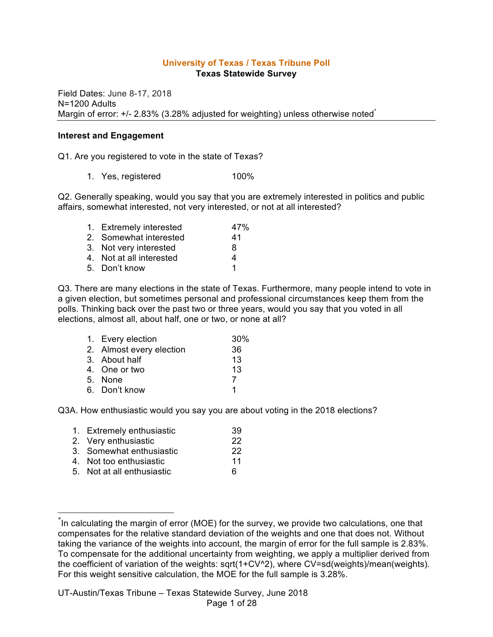#### **University of Texas / Texas Tribune Poll Texas Statewide Survey**

Field Dates: June 8-17, 2018 N=1200 Adults Margin of error: +/- 2.83% (3.28% adjusted for weighting) unless otherwise noted<sup>\*</sup>

#### **Interest and Engagement**

Q1. Are you registered to vote in the state of Texas?

1. Yes, registered 100%

Q2. Generally speaking, would you say that you are extremely interested in politics and public affairs, somewhat interested, not very interested, or not at all interested?

| 1. Extremely interested  | 47% |
|--------------------------|-----|
| 2. Somewhat interested   | 41  |
| 3. Not very interested   | 8   |
| 4. Not at all interested | 4   |
| 5. Don't know            | 1   |

Q3. There are many elections in the state of Texas. Furthermore, many people intend to vote in a given election, but sometimes personal and professional circumstances keep them from the polls. Thinking back over the past two or three years, would you say that you voted in all elections, almost all, about half, one or two, or none at all?

| 1. Every election        | 30% |
|--------------------------|-----|
| 2. Almost every election | 36  |
| 3. About half            | 13  |
| 4. One or two            | 13  |
| 5. None                  | 7   |
| 6. Don't know            |     |

Q3A. How enthusiastic would you say you are about voting in the 2018 elections?

| 1. Extremely enthusiastic  | 39 |
|----------------------------|----|
| 2. Very enthusiastic       | 22 |
| 3. Somewhat enthusiastic   | 22 |
| 4. Not too enthusiastic    | 11 |
| 5. Not at all enthusiastic | 6  |
|                            |    |

 <sup>\*</sup> In calculating the margin of error (MOE) for the survey, we provide two calculations, one that compensates for the relative standard deviation of the weights and one that does not. Without taking the variance of the weights into account, the margin of error for the full sample is 2.83%. To compensate for the additional uncertainty from weighting, we apply a multiplier derived from the coefficient of variation of the weights: sqrt(1+CV^2), where CV=sd(weights)/mean(weights). For this weight sensitive calculation, the MOE for the full sample is 3.28%.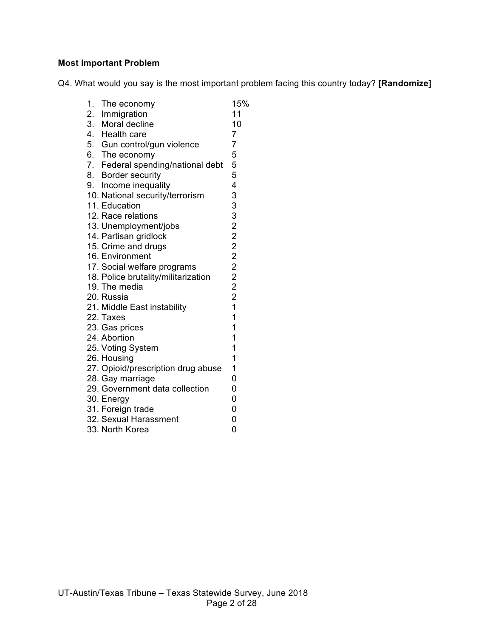## **Most Important Problem**

Q4. What would you say is the most important problem facing this country today? **[Randomize]**

| 1. The economy<br>2. Immigration    | 15%<br>11               |
|-------------------------------------|-------------------------|
| 3. Moral decline                    | 10                      |
| 4. Health care                      | $\overline{7}$          |
| 5. Gun control/gun violence         | $\overline{7}$          |
| 6. The economy                      | 5                       |
| 7. Federal spending/national debt   | 5                       |
| 8. Border security                  | 5                       |
| 9. Income inequality                | 4                       |
| 10. National security/terrorism     |                         |
| 11. Education                       | 33322222221             |
| 12. Race relations                  |                         |
| 13. Unemployment/jobs               |                         |
| 14. Partisan gridlock               |                         |
| 15. Crime and drugs                 |                         |
| 16. Environment                     |                         |
| 17. Social welfare programs         |                         |
| 18. Police brutality/militarization |                         |
| 19. The media                       |                         |
| 20. Russia                          |                         |
| 21. Middle East instability         |                         |
| 22. Taxes                           | $\overline{\mathbf{1}}$ |
| 23. Gas prices                      | $\overline{1}$          |
| 24. Abortion                        | 1                       |
| 25. Voting System                   | 1                       |
| 26. Housing                         | 1                       |
| 27. Opioid/prescription drug abuse  | 1                       |
| 28. Gay marriage                    | 0                       |
| 29. Government data collection      | 0                       |
| 30. Energy                          | 0                       |
| 31. Foreign trade                   | $\overline{0}$          |
| 32. Sexual Harassment               | 0                       |
| 33. North Korea                     | 0                       |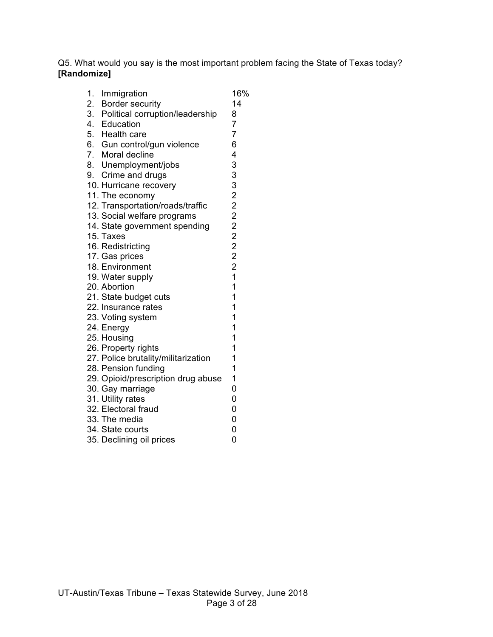Q5. What would you say is the most important problem facing the State of Texas today? **[Randomize]**

| 1. |                                                          | 16%            |
|----|----------------------------------------------------------|----------------|
|    | Immigration                                              | 14             |
|    | 2. Border security<br>3. Political corruption/leadership | 8              |
|    |                                                          | $\overline{7}$ |
|    | 4. Education                                             | $\overline{7}$ |
|    | 5. Health care                                           |                |
|    | 6. Gun control/gun violence                              | 6              |
|    | 7. Moral decline                                         | 4              |
|    | 8. Unemployment/jobs                                     | 33322222221    |
|    | 9. Crime and drugs                                       |                |
|    | 10. Hurricane recovery                                   |                |
|    | 11. The economy                                          |                |
|    | 12. Transportation/roads/traffic                         |                |
|    | 13. Social welfare programs                              |                |
|    | 14. State government spending                            |                |
|    | 15. Taxes                                                |                |
|    | 16. Redistricting                                        |                |
|    | 17. Gas prices                                           |                |
|    | 18. Environment                                          |                |
|    | 19. Water supply                                         |                |
|    | 20. Abortion                                             | 1              |
|    | 21. State budget cuts                                    | 1              |
|    | 22. Insurance rates                                      | 1              |
|    | 23. Voting system                                        | 1              |
|    | 24. Energy                                               | 1              |
|    | 25. Housing                                              | 1              |
|    | 26. Property rights                                      | 1              |
|    | 27. Police brutality/militarization                      | 1              |
|    | 28. Pension funding                                      | 1              |
|    | 29. Opioid/prescription drug abuse                       | 1              |
|    | 30. Gay marriage                                         | 0              |
|    | 31. Utility rates                                        | 0              |
|    | 32. Electoral fraud                                      | 0              |
|    | 33. The media                                            | 0              |
|    | 34. State courts                                         | 0              |
|    | 35. Declining oil prices                                 | 0              |
|    |                                                          |                |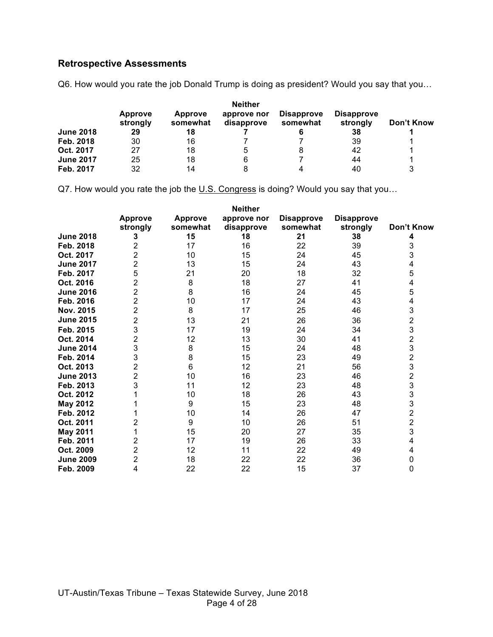# **Retrospective Assessments**

Q6. How would you rate the job Donald Trump is doing as president? Would you say that you…

|                  | <b>Approve</b><br>strongly | Approve<br>somewhat | approve nor<br>disapprove | <b>Disapprove</b><br>somewhat | <b>Disapprove</b><br>strongly | Don't Know |
|------------------|----------------------------|---------------------|---------------------------|-------------------------------|-------------------------------|------------|
| <b>June 2018</b> | 29                         | 18                  |                           |                               | 38                            |            |
| Feb. 2018        | 30                         | 16                  |                           |                               | 39                            |            |
| Oct. 2017        | 27                         | 18                  | :5                        | 8                             | 42                            |            |
| <b>June 2017</b> | 25                         | 18                  | 6                         |                               | 44                            |            |
| Feb. 2017        | 32                         | 14                  |                           | 4                             | 40                            | 3          |

Q7. How would you rate the job the U.S. Congress is doing? Would you say that you...

|                  | <b>Neither</b>             |                            |                           |                               |                               |                         |  |  |
|------------------|----------------------------|----------------------------|---------------------------|-------------------------------|-------------------------------|-------------------------|--|--|
|                  | <b>Approve</b><br>strongly | <b>Approve</b><br>somewhat | approve nor<br>disapprove | <b>Disapprove</b><br>somewhat | <b>Disapprove</b><br>strongly | Don't Know              |  |  |
| <b>June 2018</b> | З                          | 15                         | 18                        | 21                            | 38                            |                         |  |  |
| Feb. 2018        | 2                          | 17                         | 16                        | 22                            | 39                            | 3                       |  |  |
| Oct. 2017        | 2                          | 10                         | 15                        | 24                            | 45                            | 3                       |  |  |
| <b>June 2017</b> | 2                          | 13                         | 15                        | 24                            | 43                            | 4                       |  |  |
| Feb. 2017        | 5                          | 21                         | 20                        | 18                            | 32                            | 5                       |  |  |
| Oct. 2016        | $\overline{2}$             | 8                          | 18                        | 27                            | 41                            | 4                       |  |  |
| <b>June 2016</b> | 2                          | 8                          | 16                        | 24                            | 45                            | 5                       |  |  |
| Feb. 2016        | $\overline{2}$             | 10                         | 17                        | 24                            | 43                            | 4                       |  |  |
| Nov. 2015        | $\overline{2}$             | 8                          | 17                        | 25                            | 46                            | 3                       |  |  |
| <b>June 2015</b> | 2                          | 13                         | 21                        | 26                            | 36                            | $\frac{2}{3}$           |  |  |
| Feb. 2015        | 3                          | 17                         | 19                        | 24                            | 34                            |                         |  |  |
| Oct. 2014        | 2                          | 12                         | 13                        | 30                            | 41                            | $\overline{\mathbf{c}}$ |  |  |
| <b>June 2014</b> | 3                          | 8                          | 15                        | 24                            | 48                            | 3                       |  |  |
| Feb. 2014        | 3                          | 8                          | 15                        | 23                            | 49                            | $\overline{\mathbf{c}}$ |  |  |
| Oct. 2013        | 2                          | 6                          | 12                        | 21                            | 56                            | 3                       |  |  |
| <b>June 2013</b> | 2                          | 10                         | 16                        | 23                            | 46                            | $\overline{c}$          |  |  |
| Feb. 2013        | 3                          | 11                         | 12                        | 23                            | 48                            | 3                       |  |  |
| Oct. 2012        |                            | 10                         | 18                        | 26                            | 43                            |                         |  |  |
| May 2012         |                            | 9                          | 15                        | 23                            | 48                            | 3<br>3                  |  |  |
| Feb. 2012        |                            | 10                         | 14                        | 26                            | 47                            | $\overline{\mathbf{c}}$ |  |  |
| Oct. 2011        | 2                          | 9                          | 10                        | 26                            | 51                            | $\overline{c}$          |  |  |
| <b>May 2011</b>  |                            | 15                         | 20                        | 27                            | 35                            | 3                       |  |  |
| Feb. 2011        | 2                          | 17                         | 19                        | 26                            | 33                            | 4                       |  |  |
| Oct. 2009        | 2                          | 12                         | 11                        | 22                            | 49                            | 4                       |  |  |
| <b>June 2009</b> | 2                          | 18                         | 22                        | 22                            | 36                            | 0                       |  |  |
| Feb. 2009        | 4                          | 22                         | 22                        | 15                            | 37                            | 0                       |  |  |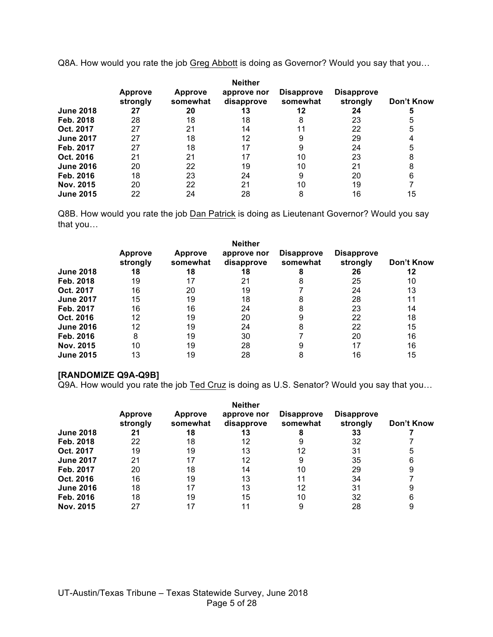Q8A. How would you rate the job Greg Abbott is doing as Governor? Would you say that you...

|                  | <b>Approve</b><br>strongly | <b>Approve</b><br>somewhat | <b>Neither</b><br>approve nor<br>disapprove | <b>Disapprove</b><br>somewhat | <b>Disapprove</b><br>strongly | Don't Know |
|------------------|----------------------------|----------------------------|---------------------------------------------|-------------------------------|-------------------------------|------------|
| <b>June 2018</b> | 27                         | 20                         | 13                                          | 12                            | 24                            | G          |
| Feb. 2018        | 28                         | 18                         | 18                                          | 8                             | 23                            | 5          |
| Oct. 2017        | 27                         | 21                         | 14                                          |                               | 22                            | 5          |
| <b>June 2017</b> | 27                         | 18                         | 12                                          | 9                             | 29                            |            |
| Feb. 2017        | 27                         | 18                         | 17                                          |                               | 24                            | 5          |
| Oct. 2016        | 21                         | 21                         | 17                                          | 10                            | 23                            | 8          |
| <b>June 2016</b> | 20                         | 22                         | 19                                          | 10                            | 21                            | 8          |
| Feb. 2016        | 18                         | 23                         | 24                                          | 9                             | 20                            | 6          |
| Nov. 2015        | 20                         | 22                         | 21                                          | 10                            | 19                            |            |
| <b>June 2015</b> | 22                         | 24                         | 28                                          | 8                             | 16                            | 15         |

Q8B. How would you rate the job Dan Patrick is doing as Lieutenant Governor? Would you say that you…

|                  |                            |                            | <b>Neither</b>            |                               |                               |            |
|------------------|----------------------------|----------------------------|---------------------------|-------------------------------|-------------------------------|------------|
|                  | <b>Approve</b><br>strongly | <b>Approve</b><br>somewhat | approve nor<br>disapprove | <b>Disapprove</b><br>somewhat | <b>Disapprove</b><br>strongly | Don't Know |
| <b>June 2018</b> | 18                         | 18                         | 18                        |                               | 26                            | 12         |
| Feb. 2018        | 19                         | 17                         | 21                        |                               | 25                            | 10         |
| Oct. 2017        | 16                         | 20                         | 19                        |                               | 24                            | 13         |
| <b>June 2017</b> | 15                         | 19                         | 18                        | 8                             | 28                            | 11         |
| Feb. 2017        | 16                         | 16                         | 24                        | 8                             | 23                            | 14         |
| Oct. 2016        | 12                         | 19                         | 20                        |                               | 22                            | 18         |
| <b>June 2016</b> | 12                         | 19                         | 24                        | 8                             | 22                            | 15         |
| Feb. 2016        | 8                          | 19                         | 30                        |                               | 20                            | 16         |
| Nov. 2015        | 10                         | 19                         | 28                        |                               |                               | 16         |
| <b>June 2015</b> | 13                         | 19                         | 28                        | 8                             | 16                            | 15         |

#### **[RANDOMIZE Q9A-Q9B]**

Q9A. How would you rate the job Ted Cruz is doing as U.S. Senator? Would you say that you…

|                  | <b>Neither</b>             |                            |                           |                               |                               |            |  |
|------------------|----------------------------|----------------------------|---------------------------|-------------------------------|-------------------------------|------------|--|
|                  | <b>Approve</b><br>strongly | <b>Approve</b><br>somewhat | approve nor<br>disapprove | <b>Disapprove</b><br>somewhat | <b>Disapprove</b><br>strongly | Don't Know |  |
| <b>June 2018</b> | 21                         | 18                         | 13                        |                               | 33                            |            |  |
| Feb. 2018        | 22                         | 18                         | 12                        |                               | 32                            |            |  |
| Oct. 2017        | 19                         | 19                         | 13                        | 12                            | 31                            | 5          |  |
| <b>June 2017</b> | 21                         | 17                         | 12                        | 9                             | 35                            | 6          |  |
| Feb. 2017        | 20                         | 18                         | 14                        | 10                            | 29                            | 9          |  |
| Oct. 2016        | 16                         | 19                         | 13                        | 11                            | 34                            |            |  |
| <b>June 2016</b> | 18                         | 17                         | 13                        | 12                            | 31                            | 9          |  |
| Feb. 2016        | 18                         | 19                         | 15                        | 10                            | 32                            | 6          |  |
| Nov. 2015        | 27                         | 17                         |                           |                               | 28                            | 9          |  |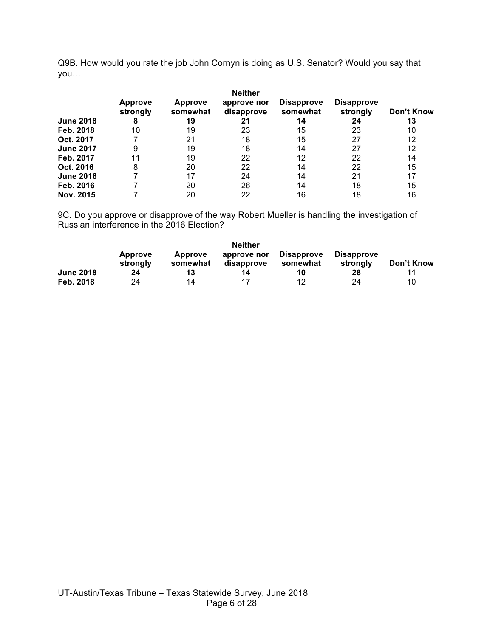Q9B. How would you rate the job John Cornyn is doing as U.S. Senator? Would you say that you…

| <b>June 2018</b> | <b>Approve</b><br>strongly<br>8 | <b>Approve</b><br>somewhat<br>19 | <b>Neither</b><br>approve nor<br>disapprove<br>21 | <b>Disapprove</b><br>somewhat<br>14 | <b>Disapprove</b><br>strongly<br>24 | Don't Know<br>13 |
|------------------|---------------------------------|----------------------------------|---------------------------------------------------|-------------------------------------|-------------------------------------|------------------|
| Feb. 2018        | 10                              | 19                               | 23                                                | 15                                  | 23                                  | 10               |
|                  |                                 |                                  |                                                   |                                     |                                     |                  |
| Oct. 2017        |                                 | 21                               | 18                                                | 15                                  | 27                                  | 12               |
| <b>June 2017</b> | 9                               | 19                               | 18                                                | 14                                  | 27                                  | 12               |
| Feb. 2017        | 11                              | 19                               | 22                                                | 12                                  | 22                                  | 14               |
| Oct. 2016        | 8                               | 20                               | 22                                                | 14                                  | 22                                  | 15               |
| <b>June 2016</b> |                                 | 17                               | 24                                                | 14                                  | 21                                  | 17               |
| Feb. 2016        |                                 | 20                               | 26                                                | 14                                  | 18                                  | 15               |
| Nov. 2015        |                                 | 20                               | 22                                                | 16                                  | 18                                  | 16               |

9C. Do you approve or disapprove of the way Robert Mueller is handling the investigation of Russian interference in the 2016 Election?

|                  | <b>Neither</b>             |                            |                           |                               |                               |            |  |  |
|------------------|----------------------------|----------------------------|---------------------------|-------------------------------|-------------------------------|------------|--|--|
|                  | <b>Approve</b><br>strongly | <b>Approve</b><br>somewhat | approve nor<br>disapprove | <b>Disapprove</b><br>somewhat | <b>Disapprove</b><br>strongly | Don't Know |  |  |
| <b>June 2018</b> | 24                         | 13                         | 14                        | 10                            | 28                            | 11         |  |  |
| Feb. 2018        | 24                         | 14                         | 17                        | 12                            | 24                            | 10         |  |  |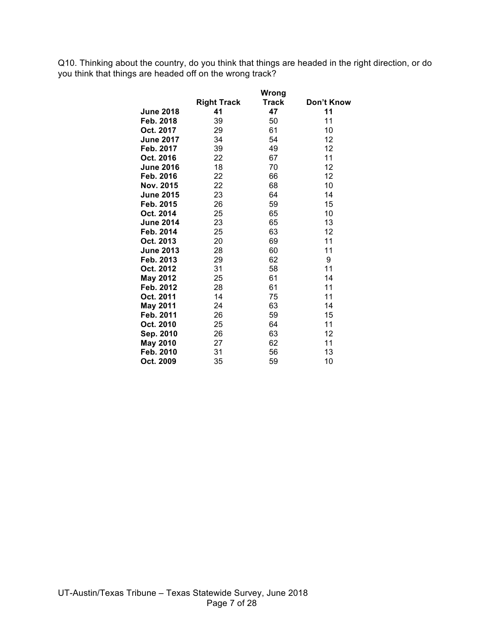Q10. Thinking about the country, do you think that things are headed in the right direction, or do you think that things are headed off on the wrong track?

|                  |                    | Wrong |            |
|------------------|--------------------|-------|------------|
|                  | <b>Right Track</b> | Track | Don't Know |
| <b>June 2018</b> | 41                 | 47    | 11         |
| Feb. 2018        | 39                 | 50    | 11         |
| Oct. 2017        | 29                 | 61    | 10         |
| <b>June 2017</b> | 34                 | 54    | 12         |
| Feb. 2017        | 39                 | 49    | 12         |
| Oct. 2016        | 22                 | 67    | 11         |
| <b>June 2016</b> | 18                 | 70    | 12         |
| Feb. 2016        | 22                 | 66    | 12         |
| Nov. 2015        | 22                 | 68    | 10         |
| <b>June 2015</b> | 23                 | 64    | 14         |
| Feb. 2015        | 26                 | 59    | 15         |
| Oct. 2014        | 25                 | 65    | 10         |
| <b>June 2014</b> | 23                 | 65    | 13         |
| Feb. 2014        | 25                 | 63    | 12         |
| Oct. 2013        | 20                 | 69    | 11         |
| <b>June 2013</b> | 28                 | 60    | 11         |
| Feb. 2013        | 29                 | 62    | 9          |
| Oct. 2012        | 31                 | 58    | 11         |
| May 2012         | 25                 | 61    | 14         |
| Feb. 2012        | 28                 | 61    | 11         |
| Oct. 2011        | 14                 | 75    | 11         |
| <b>May 2011</b>  | 24                 | 63    | 14         |
| Feb. 2011        | 26                 | 59    | 15         |
| Oct. 2010        | 25                 | 64    | 11         |
| Sep. 2010        | 26                 | 63    | 12         |
| <b>May 2010</b>  | 27                 | 62    | 11         |
| Feb. 2010        | 31                 | 56    | 13         |
| Oct. 2009        | 35                 | 59    | 10         |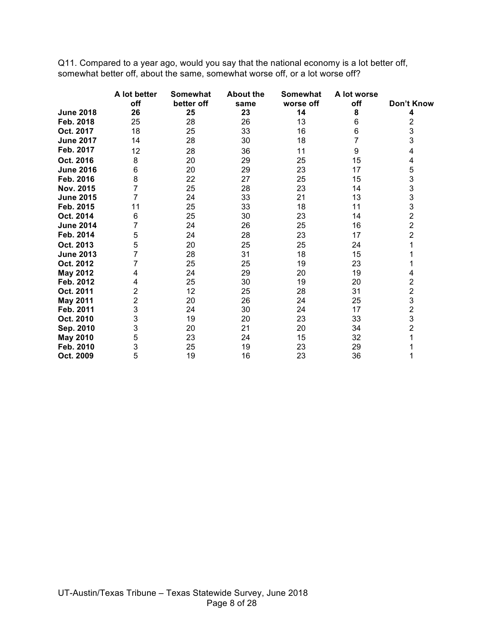Q11. Compared to a year ago, would you say that the national economy is a lot better off, somewhat better off, about the same, somewhat worse off, or a lot worse off?

|                  | A lot better | <b>Somewhat</b> | <b>About the</b> | Somewhat  | A lot worse |                                                   |
|------------------|--------------|-----------------|------------------|-----------|-------------|---------------------------------------------------|
|                  | off          | better off      | same             | worse off | off         | Don't Know                                        |
| <b>June 2018</b> | 26           | 25              | 23               | 14        | 8           | 4                                                 |
| Feb. 2018        | 25           | 28              | 26               | 13        | 6           | 2                                                 |
| Oct. 2017        | 18           | 25              | 33               | 16        | 6           | 3                                                 |
| <b>June 2017</b> | 14           | 28              | 30               | 18        |             | 3                                                 |
| Feb. 2017        | 12           | 28              | 36               | 11        | 9           | 4                                                 |
| Oct. 2016        | 8            | 20              | 29               | 25        | 15          | 4                                                 |
| <b>June 2016</b> | 6            | 20              | 29               | 23        | 17          | 5                                                 |
| Feb. 2016        | 8            | 22              | 27               | 25        | 15          | 3                                                 |
| Nov. 2015        | 7            | 25              | 28               | 23        | 14          | 3                                                 |
| <b>June 2015</b> | 7            | 24              | 33               | 21        | 13          | 3                                                 |
| Feb. 2015        | 11           | 25              | 33               | 18        | 11          | 3                                                 |
| Oct. 2014        | 6            | 25              | 30               | 23        | 14          | $\overline{c}$                                    |
| <b>June 2014</b> | 7            | 24              | 26               | 25        | 16          | $\overline{2}$                                    |
| Feb. 2014        | 5            | 24              | 28               | 23        | 17          | 2                                                 |
| Oct. 2013        | 5            | 20              | 25               | 25        | 24          |                                                   |
| <b>June 2013</b> | 7            | 28              | 31               | 18        | 15          |                                                   |
| Oct. 2012        |              | 25              | 25               | 19        | 23          |                                                   |
| <b>May 2012</b>  | 4            | 24              | 29               | 20        | 19          | 4                                                 |
| Feb. 2012        | 4            | 25              | 30               | 19        | 20          | $\begin{array}{c}\n2 \\ 2 \\ 3 \\ 2\n\end{array}$ |
| Oct. 2011        | 2            | 12              | 25               | 28        | 31          |                                                   |
| <b>May 2011</b>  | 2            | 20              | 26               | 24        | 25          |                                                   |
| Feb. 2011        | 3            | 24              | 30               | 24        | 17          |                                                   |
| Oct. 2010        | 3            | 19              | 20               | 23        | 33          | 3                                                 |
| Sep. 2010        | 3            | 20              | 21               | 20        | 34          | $\overline{c}$                                    |
| <b>May 2010</b>  | 5            | 23              | 24               | 15        | 32          |                                                   |
| Feb. 2010        | 3            | 25              | 19               | 23        | 29          |                                                   |
| Oct. 2009        | 5            | 19              | 16               | 23        | 36          |                                                   |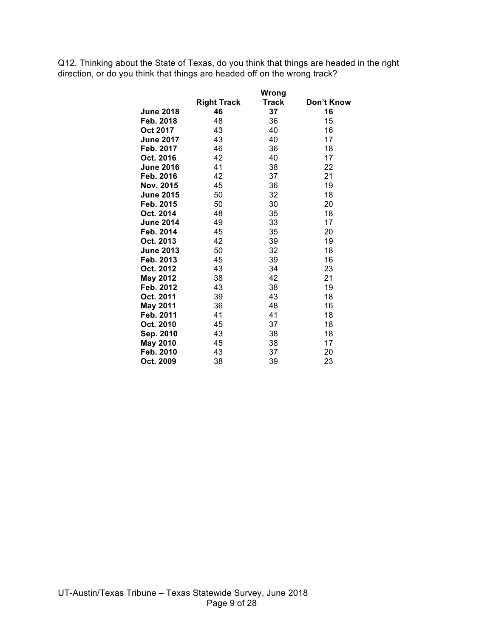Q12. Thinking about the State of Texas, do you think that things are headed in the right direction, or do you think that things are headed off on the wrong track?

|                  |                    | Wrong |            |
|------------------|--------------------|-------|------------|
|                  | <b>Right Track</b> | Track | Don't Know |
| <b>June 2018</b> | 46                 | 37    | 16         |
| Feb. 2018        | 48                 | 36    | 15         |
| Oct 2017         | 43                 | 40    | 16         |
| <b>June 2017</b> | 43                 | 40    | 17         |
| Feb. 2017        | 46                 | 36    | 18         |
| Oct. 2016        | 42                 | 40    | 17         |
| <b>June 2016</b> | 41                 | 38    | 22         |
| Feb. 2016        | 42                 | 37    | 21         |
| Nov. 2015        | 45                 | 36    | 19         |
| <b>June 2015</b> | 50                 | 32    | 18         |
| Feb. 2015        | 50                 | 30    | 20         |
| Oct. 2014        | 48                 | 35    | 18         |
| <b>June 2014</b> | 49                 | 33    | 17         |
| Feb. 2014        | 45                 | 35    | 20         |
| Oct. 2013        | 42                 | 39    | 19         |
| <b>June 2013</b> | 50                 | 32    | 18         |
| Feb. 2013        | 45                 | 39    | 16         |
| Oct. 2012        | 43                 | 34    | 23         |
| <b>May 2012</b>  | 38                 | 42    | 21         |
| Feb. 2012        | 43                 | 38    | 19         |
| Oct. 2011        | 39                 | 43    | 18         |
| <b>May 2011</b>  | 36                 | 48    | 16         |
| Feb. 2011        | 41                 | 41    | 18         |
| Oct. 2010        | 45                 | 37    | 18         |
| Sep. 2010        | 43                 | 38    | 18         |
| <b>May 2010</b>  | 45                 | 38    | 17         |
| Feb. 2010        | 43                 | 37    | 20         |
| Oct. 2009        | 38                 | 39    | 23         |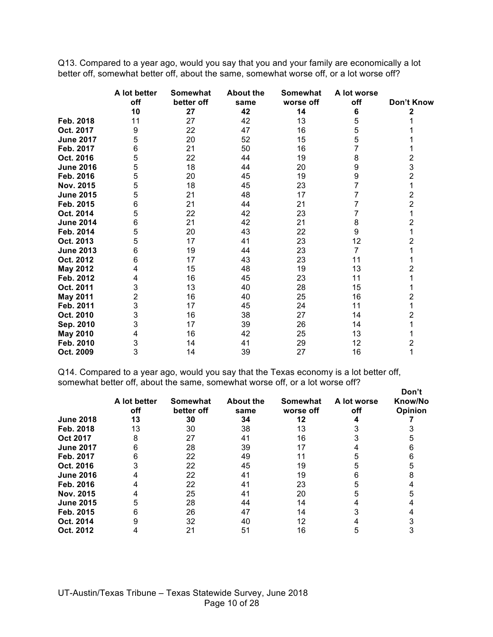Q13. Compared to a year ago, would you say that you and your family are economically a lot better off, somewhat better off, about the same, somewhat worse off, or a lot worse off?

|                  | A lot better | Somewhat   | <b>About the</b> | <b>Somewhat</b> | A lot worse |                |
|------------------|--------------|------------|------------------|-----------------|-------------|----------------|
|                  | off          | better off | same             | worse off       | off         | Don't Know     |
|                  | 10           | 27         | 42               | 14              | 6           | 2              |
| Feb. 2018        | 11           | 27         | 42               | 13              | 5           |                |
| Oct. 2017        | 9            | 22         | 47               | 16              | 5           |                |
| <b>June 2017</b> | 5            | 20         | 52               | 15              | 5           |                |
| Feb. 2017        | 6            | 21         | 50               | 16              |             |                |
| Oct. 2016        | 5            | 22         | 44               | 19              | 8           | 2              |
| <b>June 2016</b> | 5            | 18         | 44               | 20              | 9           | 3              |
| Feb. 2016        | 5            | 20         | 45               | 19              | 9           | 2              |
| Nov. 2015        | 5            | 18         | 45               | 23              | 7           | 1              |
| <b>June 2015</b> | 5            | 21         | 48               | 17              | 7           | $\overline{2}$ |
| Feb. 2015        | 6            | 21         | 44               | 21              |             | $\overline{2}$ |
| Oct. 2014        | 5            | 22         | 42               | 23              |             |                |
| <b>June 2014</b> | 6            | 21         | 42               | 21              | 8           | 2              |
| Feb. 2014        | 5            | 20         | 43               | 22              | 9           |                |
| Oct. 2013        | 5            | 17         | 41               | 23              | 12          | 2              |
| <b>June 2013</b> | 6            | 19         | 44               | 23              | 7           |                |
| Oct. 2012        | 6            | 17         | 43               | 23              | 11          |                |
| May 2012         | 4            | 15         | 48               | 19              | 13          | 2              |
| Feb. 2012        | 4            | 16         | 45               | 23              | 11          |                |
| Oct. 2011        | 3            | 13         | 40               | 28              | 15          |                |
| <b>May 2011</b>  | 2            | 16         | 40               | 25              | 16          | 2              |
| Feb. 2011        | 3            | 17         | 45               | 24              | 11          |                |
| Oct. 2010        | 3            | 16         | 38               | 27              | 14          | 2              |
| Sep. 2010        | 3            | 17         | 39               | 26              | 14          |                |
| <b>May 2010</b>  |              | 16         | 42               | 25              | 13          |                |
| Feb. 2010        | 3            | 14         | 41               | 29              | 12          | 2              |
| Oct. 2009        | 3            | 14         | 39               | 27              | 16          | 1              |

Q14. Compared to a year ago, would you say that the Texas economy is a lot better off, somewhat better off, about the same, somewhat worse off, or a lot worse off?

|                  | A lot better<br>off | Somewhat<br>better off | <b>About the</b><br>same | Somewhat<br>worse off | A lot worse<br>off | Don't<br>Know/No<br>Opinion |
|------------------|---------------------|------------------------|--------------------------|-----------------------|--------------------|-----------------------------|
| <b>June 2018</b> | 13                  | 30                     | 34                       | 12                    |                    |                             |
| Feb. 2018        | 13                  | 30                     | 38                       | 13                    |                    |                             |
| Oct 2017         |                     | 27                     | 41                       | 16                    |                    |                             |
| <b>June 2017</b> |                     | 28                     | 39                       |                       |                    |                             |
| Feb. 2017        |                     | 22                     | 49                       |                       |                    |                             |
| Oct. 2016        |                     | 22                     | 45                       | 19                    |                    |                             |
| <b>June 2016</b> |                     | 22                     | 41                       | 19                    |                    |                             |
| Feb. 2016        |                     | 22                     | 41                       | 23                    |                    |                             |
| Nov. 2015        |                     | 25                     | 4 <sup>1</sup>           | 20                    |                    |                             |
| <b>June 2015</b> |                     | 28                     | 44                       | 14                    |                    |                             |
| Feb. 2015        |                     | 26                     | 47                       | 14                    |                    |                             |
| Oct. 2014        |                     | 32                     | 40                       | 12                    |                    |                             |
| Oct. 2012        |                     | 21                     | 51                       | 16                    |                    |                             |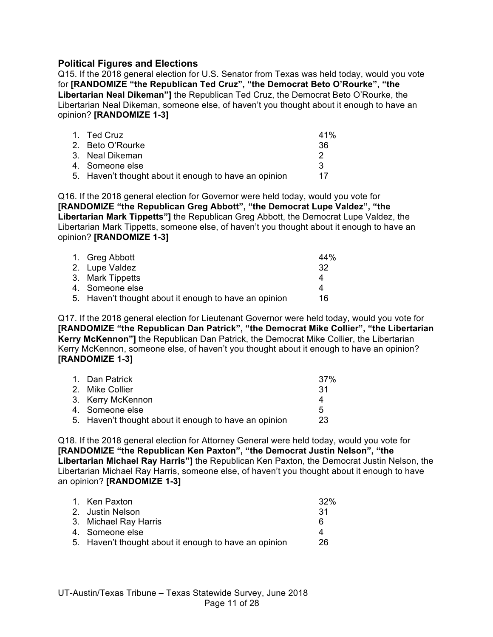## **Political Figures and Elections**

Q15. If the 2018 general election for U.S. Senator from Texas was held today, would you vote for **[RANDOMIZE "the Republican Ted Cruz", "the Democrat Beto O'Rourke", "the Libertarian Neal Dikeman"]** the Republican Ted Cruz, the Democrat Beto O'Rourke, the Libertarian Neal Dikeman, someone else, of haven't you thought about it enough to have an opinion? **[RANDOMIZE 1-3]**

| 1. Ted Cruz                                           | 41% |
|-------------------------------------------------------|-----|
| 2. Beto O'Rourke                                      | -36 |
| 3. Neal Dikeman                                       |     |
| 4. Someone else                                       | વ   |
| 5. Haven't thought about it enough to have an opinion | 17  |

Q16. If the 2018 general election for Governor were held today, would you vote for **[RANDOMIZE "the Republican Greg Abbott", "the Democrat Lupe Valdez", "the Libertarian Mark Tippetts"]** the Republican Greg Abbott, the Democrat Lupe Valdez, the Libertarian Mark Tippetts, someone else, of haven't you thought about it enough to have an opinion? **[RANDOMIZE 1-3]**

| 1. Greg Abbott                                        | 44%  |
|-------------------------------------------------------|------|
| 2. Lupe Valdez                                        | -32. |
| 3. Mark Tippetts                                      | Δ    |
| 4. Someone else                                       | Δ    |
| 5. Haven't thought about it enough to have an opinion | 16   |

Q17. If the 2018 general election for Lieutenant Governor were held today, would you vote for **[RANDOMIZE "the Republican Dan Patrick", "the Democrat Mike Collier", "the Libertarian Kerry McKennon"]** the Republican Dan Patrick, the Democrat Mike Collier, the Libertarian Kerry McKennon, someone else, of haven't you thought about it enough to have an opinion? **[RANDOMIZE 1-3]**

| 1. Dan Patrick                                        | .37% |
|-------------------------------------------------------|------|
| 2. Mike Collier                                       | -31  |
| 3. Kerry McKennon                                     | Δ    |
| 4. Someone else                                       | 5    |
| 5. Haven't thought about it enough to have an opinion | 23   |
|                                                       |      |

Q18. If the 2018 general election for Attorney General were held today, would you vote for **[RANDOMIZE "the Republican Ken Paxton", "the Democrat Justin Nelson", "the Libertarian Michael Ray Harris"]** the Republican Ken Paxton, the Democrat Justin Nelson, the Libertarian Michael Ray Harris, someone else, of haven't you thought about it enough to have an opinion? **[RANDOMIZE 1-3]**

| 1. Ken Paxton                                         | 32% |
|-------------------------------------------------------|-----|
| 2. Justin Nelson                                      | -31 |
| 3. Michael Ray Harris                                 | 6   |
| 4. Someone else                                       | 4   |
| 5. Haven't thought about it enough to have an opinion | 26  |
|                                                       |     |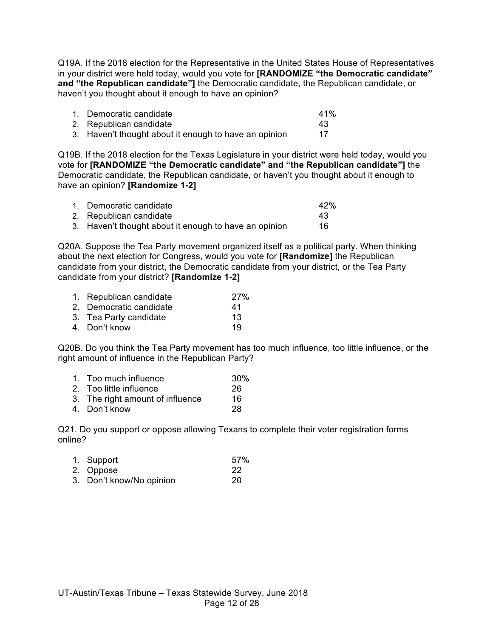Q19A. If the 2018 election for the Representative in the United States House of Representatives in your district were held today, would you vote for **[RANDOMIZE "the Democratic candidate" and "the Republican candidate"]** the Democratic candidate, the Republican candidate, or haven't you thought about it enough to have an opinion?

| 1. Democratic candidate                               | 41% |
|-------------------------------------------------------|-----|
| 2. Republican candidate                               | 43  |
| 3. Haven't thought about it enough to have an opinion | 17  |

Q19B. If the 2018 election for the Texas Legislature in your district were held today, would you vote for **[RANDOMIZE "the Democratic candidate" and "the Republican candidate"]** the Democratic candidate, the Republican candidate, or haven't you thought about it enough to have an opinion? **[Randomize 1-2]**

| 1. Democratic candidate                               | 42% |
|-------------------------------------------------------|-----|
| 2. Republican candidate                               | 43  |
| 3. Haven't thought about it enough to have an opinion | 16  |

Q20A. Suppose the Tea Party movement organized itself as a political party. When thinking about the next election for Congress, would you vote for **[Randomize]** the Republican candidate from your district, the Democratic candidate from your district, or the Tea Party candidate from your district? **[Randomize 1-2]**

| 1. Republican candidate | 27% |
|-------------------------|-----|
| 2. Democratic candidate | 41  |
| 3. Tea Party candidate  | 13  |
| 4. Don't know           | 19  |

Q20B. Do you think the Tea Party movement has too much influence, too little influence, or the right amount of influence in the Republican Party?

| 1. | Too much influence | 30% |
|----|--------------------|-----|
|    |                    |     |

- 2. Too little influence  $\begin{array}{c} 26 \\ 3. \end{array}$  The right amount of influence  $\begin{array}{c} 26 \\ 16 \end{array}$
- 3. The right amount of influence
- 4. Don't know 28

Q21. Do you support or oppose allowing Texans to complete their voter registration forms online?

| 1. Support               | 57% |
|--------------------------|-----|
| 2. Oppose                | 22  |
| 3. Don't know/No opinion | 20  |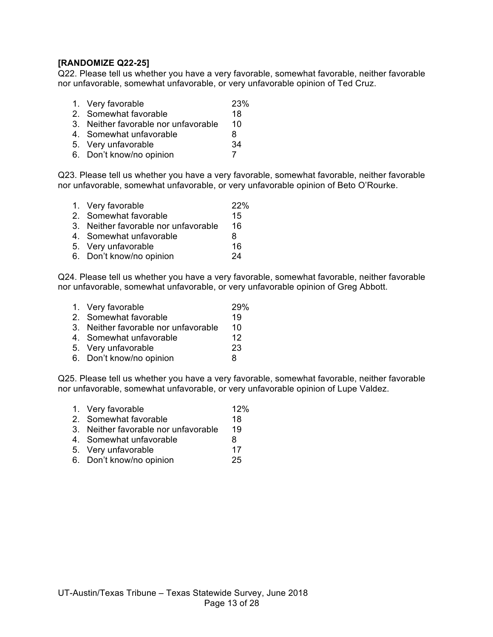## **[RANDOMIZE Q22-25]**

Q22. Please tell us whether you have a very favorable, somewhat favorable, neither favorable nor unfavorable, somewhat unfavorable, or very unfavorable opinion of Ted Cruz.

- 1. Very favorable 23%
- 2. Somewhat favorable 18
- 3. Neither favorable nor unfavorable 10
- 4. Somewhat unfavorable and the 8
- 5. Very unfavorable 34
- 6. Don't know/no opinion 7

Q23. Please tell us whether you have a very favorable, somewhat favorable, neither favorable nor unfavorable, somewhat unfavorable, or very unfavorable opinion of Beto O'Rourke.

1. Very favorable 22% 2. Somewhat favorable 15 3. Neither favorable nor unfavorable 16 4. Somewhat unfavorable and the 8 5. Very unfavorable 16 6. Don't know/no opinion 24

Q24. Please tell us whether you have a very favorable, somewhat favorable, neither favorable nor unfavorable, somewhat unfavorable, or very unfavorable opinion of Greg Abbott.

- 1. Very favorable 29%
- 2. Somewhat favorable 19
- 3. Neither favorable nor unfavorable 10
- 4. Somewhat unfavorable 12
- 5. Very unfavorable 23
- 6. Don't know/no opinion 8

Q25. Please tell us whether you have a very favorable, somewhat favorable, neither favorable nor unfavorable, somewhat unfavorable, or very unfavorable opinion of Lupe Valdez.

- 1. Very favorable 12% 2. Somewhat favorable 18 3. Neither favorable nor unfavorable 19
- 4. Somewhat unfavorable and the 8
- 5. Very unfavorable 17
- 6. Don't know/no opinion 25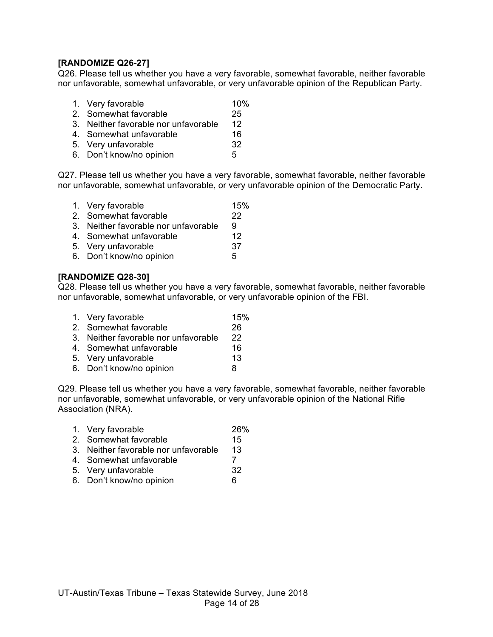## **[RANDOMIZE Q26-27]**

Q26. Please tell us whether you have a very favorable, somewhat favorable, neither favorable nor unfavorable, somewhat unfavorable, or very unfavorable opinion of the Republican Party.

- 1. Very favorable 10%
- 2. Somewhat favorable 25
- 3. Neither favorable nor unfavorable 12
- 4. Somewhat unfavorable 16
- 5. Very unfavorable 32
- 6. Don't know/no opinion 5

Q27. Please tell us whether you have a very favorable, somewhat favorable, neither favorable nor unfavorable, somewhat unfavorable, or very unfavorable opinion of the Democratic Party.

- 1. Very favorable 15%
- 2. Somewhat favorable 22
- 3. Neither favorable nor unfavorable 9
- 4. Somewhat unfavorable 12
- 5. Very unfavorable 37
- 6. Don't know/no opinion 5

## **[RANDOMIZE Q28-30]**

Q28. Please tell us whether you have a very favorable, somewhat favorable, neither favorable nor unfavorable, somewhat unfavorable, or very unfavorable opinion of the FBI.

- 1. Very favorable 15% 2. Somewhat favorable 26
- 3. Neither favorable nor unfavorable 22
- 4. Somewhat unfavorable 16
- 5. Very unfavorable 13
- 6. Don't know/no opinion 8

Q29. Please tell us whether you have a very favorable, somewhat favorable, neither favorable nor unfavorable, somewhat unfavorable, or very unfavorable opinion of the National Rifle Association (NRA).

- 1. Very favorable 26%
- 2. Somewhat favorable 15
- 3. Neither favorable nor unfavorable 13
- 4. Somewhat unfavorable 7
- 5. Very unfavorable 32
- 6. Don't know/no opinion 6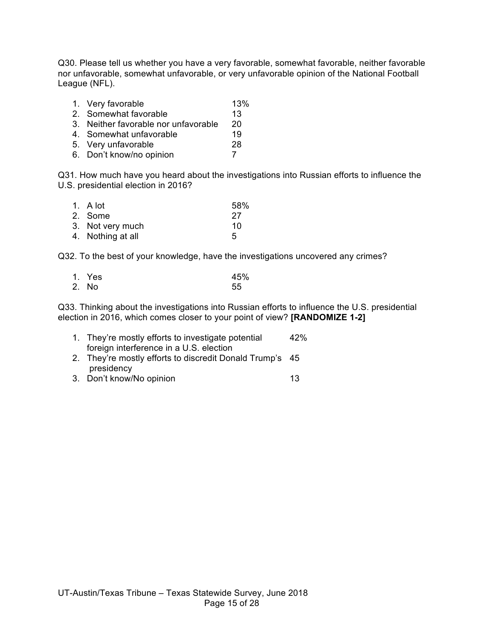Q30. Please tell us whether you have a very favorable, somewhat favorable, neither favorable nor unfavorable, somewhat unfavorable, or very unfavorable opinion of the National Football League (NFL).

- 1. Very favorable 13% 2. Somewhat favorable 13 3. Neither favorable nor unfavorable 20 4. Somewhat unfavorable 19 5. Very unfavorable 28
- 6. Don't know/no opinion 7

Q31. How much have you heard about the investigations into Russian efforts to influence the U.S. presidential election in 2016?

| 1. $A$ lot        | 58% |
|-------------------|-----|
| 2. Some           | -27 |
| 3. Not very much  | 10  |
| 4. Nothing at all | 5   |

Q32. To the best of your knowledge, have the investigations uncovered any crimes?

| 1. Yes | 45% |
|--------|-----|
| 2. No  | 55  |

Q33. Thinking about the investigations into Russian efforts to influence the U.S. presidential election in 2016, which comes closer to your point of view? **[RANDOMIZE 1-2]**

| 1. They're mostly efforts to investigate potential    | 42% |
|-------------------------------------------------------|-----|
| foreign interference in a U.S. election               |     |
| They're mostly efforts to discredit Donald Trump's 45 |     |

- 2. They're mostly efforts to discredit Donald Trump's 45 presidency
- 3. Don't know/No opinion 13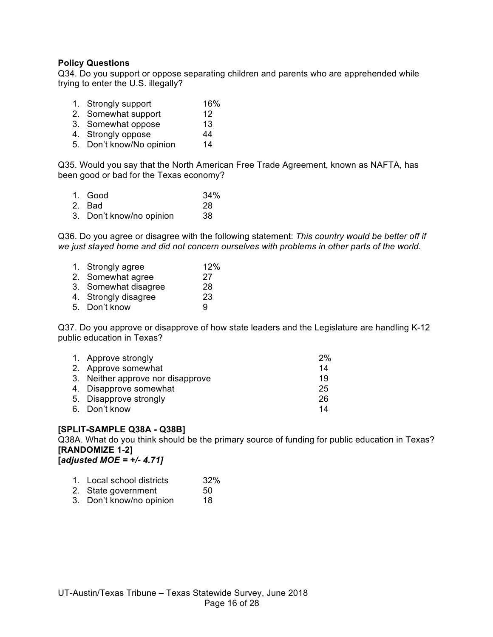#### **Policy Questions**

Q34. Do you support or oppose separating children and parents who are apprehended while trying to enter the U.S. illegally?

- 1. Strongly support 16%
- 2. Somewhat support 12<br>3. Somewhat oppose 13
- 3. Somewhat oppose
- 4. Strongly oppose 44
- 5. Don't know/No opinion 14

Q35. Would you say that the North American Free Trade Agreement, known as NAFTA, has been good or bad for the Texas economy?

| 1. Good                  | 34% |
|--------------------------|-----|
| 2. Bad                   | 28  |
| 3. Don't know/no opinion | 38  |

Q36. Do you agree or disagree with the following statement: *This country would be better off if we just stayed home and did not concern ourselves with problems in other parts of the world.*

| 1. Strongly agree    | 12% |
|----------------------|-----|
| 2. Somewhat agree    | 27  |
| 3. Somewhat disagree | 28  |
| 4. Strongly disagree | 23  |
| 5. Don't know        | 9   |
|                      |     |

Q37. Do you approve or disapprove of how state leaders and the Legislature are handling K-12 public education in Texas?

| 1. Approve strongly               | 2% |
|-----------------------------------|----|
| 2. Approve somewhat               | 14 |
| 3. Neither approve nor disapprove | 19 |
| 4. Disapprove somewhat            | 25 |
| 5. Disapprove strongly            | 26 |
| 6. Don't know                     | 14 |

## **[SPLIT-SAMPLE Q38A - Q38B]**

Q38A. What do you think should be the primary source of funding for public education in Texas? **[RANDOMIZE 1-2]**

**[***adjusted MOE = +/- 4.71]*

| 1. Local school districts | 32% |
|---------------------------|-----|
|---------------------------|-----|

- 2. State government 50
- 3. Don't know/no opinion 18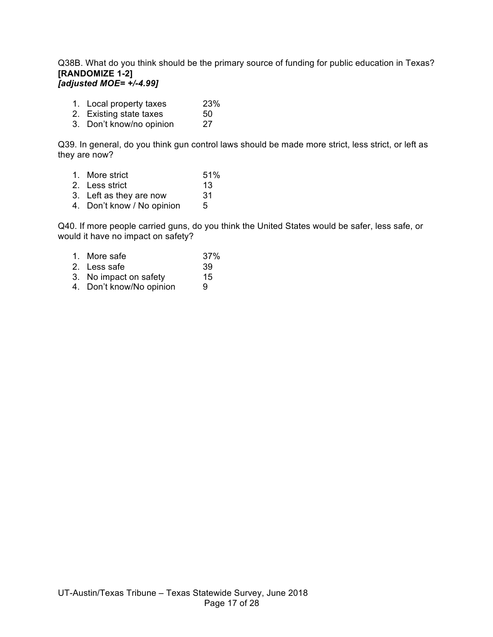#### Q38B. What do you think should be the primary source of funding for public education in Texas? **[RANDOMIZE 1-2]** *[adjusted MOE= +/-4.99]*

- 1. Local property taxes 23%
- 2. Existing state taxes 50
- 3. Don't know/no opinion 27

Q39. In general, do you think gun control laws should be made more strict, less strict, or left as they are now?

| 1. More strict | 51% |
|----------------|-----|
|                |     |

- 2. Less strict 13
- 3. Left as they are now 31
- 4. Don't know / No opinion 5

Q40. If more people carried guns, do you think the United States would be safer, less safe, or would it have no impact on safety?

- 1. More safe 37% 2. Less safe 39
- 3. No impact on safety 15 4. Don't know/No opinion 9
-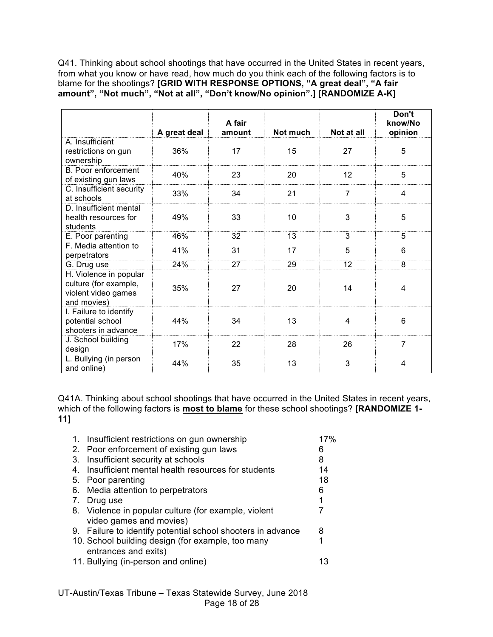Q41. Thinking about school shootings that have occurred in the United States in recent years, from what you know or have read, how much do you think each of the following factors is to blame for the shootings? **[GRID WITH RESPONSE OPTIONS, "A great deal", "A fair amount", "Not much", "Not at all", "Don't know/No opinion".] [RANDOMIZE A-K]**

|                                                                                       | A great deal | A fair<br>amount | Not much | Not at all | Don't<br>know/No<br>opinion |
|---------------------------------------------------------------------------------------|--------------|------------------|----------|------------|-----------------------------|
| A. Insufficient<br>restrictions on gun<br>ownership                                   | 36%          | 17               | 15       | 27         | 5                           |
| <b>B. Poor enforcement</b><br>of existing gun laws                                    | 40%          | 23               | 20       | 12         | 5                           |
| C. Insufficient security<br>at schools                                                | 33%          | 34               | 21       | 7          | 4                           |
| D. Insufficient mental<br>health resources for<br>students                            | 49%          | 33               | 10       | 3          | 5                           |
| E. Poor parenting                                                                     | 46%          | 32               | 13       | 3          | 5                           |
| F. Media attention to<br>perpetrators                                                 | 41%          | 31               | 17       | 5          | 6                           |
| G. Drug use                                                                           | 24%          | 27               | 29       | 12         | 8                           |
| H. Violence in popular<br>culture (for example,<br>violent video games<br>and movies) | 35%          | 27               | 20       | 14         | 4                           |
| I. Failure to identify<br>potential school<br>shooters in advance                     | 44%          | 34               | 13       | 4          | 6                           |
| J. School building<br>design                                                          | 17%          | 22               | 28       | 26         | $\overline{7}$              |
| L. Bullying (in person<br>and online)                                                 | 44%          | 35               | 13       | 3          | 4                           |

Q41A. Thinking about school shootings that have occurred in the United States in recent years, which of the following factors is **most to blame** for these school shootings? **[RANDOMIZE 1- 11]**

| 1. Insufficient restrictions on gun ownership               | 17%                                                         |
|-------------------------------------------------------------|-------------------------------------------------------------|
| 2. Poor enforcement of existing gun laws                    | 6                                                           |
| Insufficient security at schools                            | 8                                                           |
| Insufficient mental health resources for students           | 14                                                          |
| Poor parenting                                              | 18                                                          |
| Media attention to perpetrators                             | 6                                                           |
| Drug use                                                    | 1                                                           |
| 8. Violence in popular culture (for example, violent        |                                                             |
| video games and movies)                                     |                                                             |
| 9. Failure to identify potential school shooters in advance | 8                                                           |
| 10. School building design (for example, too many           |                                                             |
|                                                             |                                                             |
|                                                             |                                                             |
|                                                             | entrances and exits)<br>11. Bullying (in-person and online) |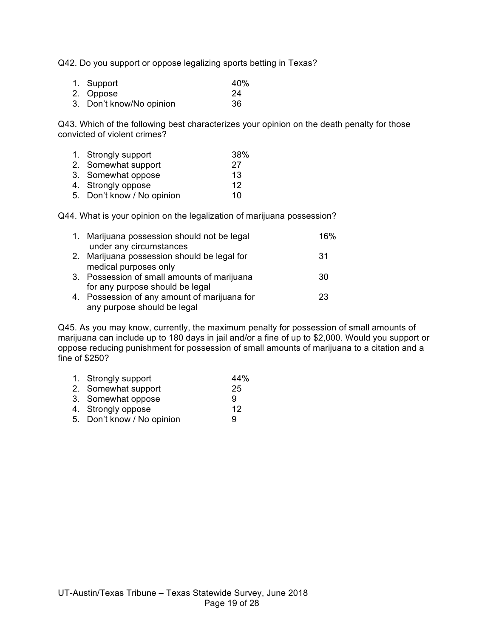Q42. Do you support or oppose legalizing sports betting in Texas?

| 1. Support               | 40% |
|--------------------------|-----|
| 2. Oppose                | -24 |
| 3. Don't know/No opinion | 36  |

Q43. Which of the following best characterizes your opinion on the death penalty for those convicted of violent crimes?

| 1. Strongly support        | 38% |
|----------------------------|-----|
| 2. Somewhat support        | 27  |
| 3. Somewhat oppose         | 13  |
| 4. Strongly oppose         | 12  |
| 5. Don't know / No opinion | 10  |
|                            |     |

Q44. What is your opinion on the legalization of marijuana possession?

| 1. Marijuana possession should not be legal<br>under any circumstances         | 16% |
|--------------------------------------------------------------------------------|-----|
| 2. Marijuana possession should be legal for<br>medical purposes only           | -31 |
| 3. Possession of small amounts of marijuana<br>for any purpose should be legal | 30  |
| 4. Possession of any amount of marijuana for<br>any purpose should be legal    | 23  |

Q45. As you may know, currently, the maximum penalty for possession of small amounts of marijuana can include up to 180 days in jail and/or a fine of up to \$2,000. Would you support or oppose reducing punishment for possession of small amounts of marijuana to a citation and a fine of \$250?

| 1. Strongly support        | 44% |
|----------------------------|-----|
| 2. Somewhat support        | 25  |
| 3. Somewhat oppose         | 9   |
| 4. Strongly oppose         | 12  |
| 5. Don't know / No opinion | 9   |
|                            |     |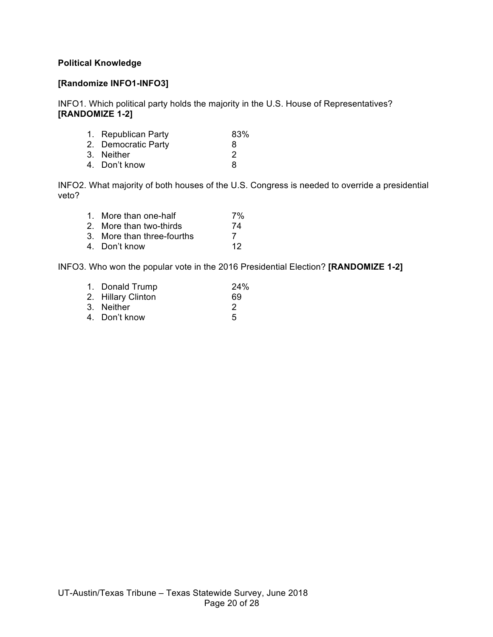## **Political Knowledge**

#### **[Randomize INFO1-INFO3]**

INFO1. Which political party holds the majority in the U.S. House of Representatives? **[RANDOMIZE 1-2]**

| 1. Republican Party | 83% |
|---------------------|-----|
| 2. Democratic Party | 8   |
| 3. Neither          | 2   |
| 4. Don't know       | 8   |
|                     |     |

INFO2. What majority of both houses of the U.S. Congress is needed to override a presidential veto?

| 1. More than one-half      | 7% |
|----------------------------|----|
| 2. More than two-thirds    | 74 |
| 3. More than three-fourths |    |
| 4. Don't know              | 12 |

INFO3. Who won the popular vote in the 2016 Presidential Election? **[RANDOMIZE 1-2]**

| 1. Donald Trump    | 24% |
|--------------------|-----|
| 2. Hillary Clinton | 69  |
| 3. Neither         | 2   |
| 4. Don't know      | 5   |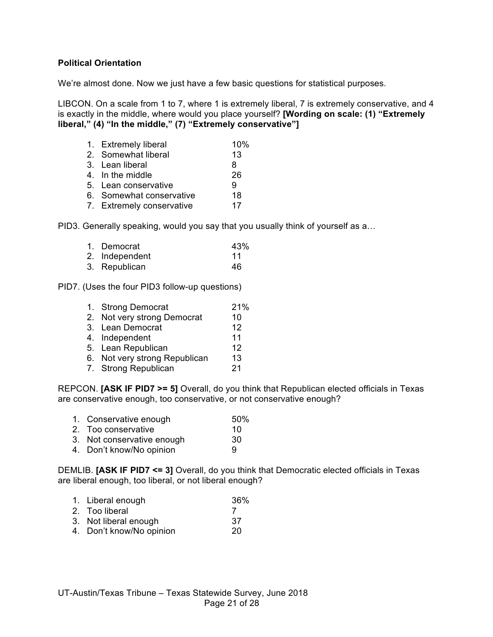#### **Political Orientation**

We're almost done. Now we just have a few basic questions for statistical purposes.

LIBCON. On a scale from 1 to 7, where 1 is extremely liberal, 7 is extremely conservative, and 4 is exactly in the middle, where would you place yourself? **[Wording on scale: (1) "Extremely liberal," (4) "In the middle," (7) "Extremely conservative"]**

| 1. Extremely liberal      | 10% |
|---------------------------|-----|
| 2. Somewhat liberal       | 13  |
| 3. Lean liberal           | 8   |
| 4. In the middle          | 26  |
| 5. Lean conservative      | 9   |
| 6. Somewhat conservative  | 18  |
| 7. Extremely conservative | 17  |
|                           |     |

PID3. Generally speaking, would you say that you usually think of yourself as a…

| 1. Democrat    | 43% |
|----------------|-----|
| 2. Independent | 11  |
| 3. Republican  | 46  |

PID7. (Uses the four PID3 follow-up questions)

| 1. Strong Democrat            | 21% |
|-------------------------------|-----|
| 2. Not very strong Democrat   | 10  |
| 3. Lean Democrat              | 12  |
| 4. Independent                | 11  |
| 5. Lean Republican            | 12  |
| 6. Not very strong Republican | 13  |
| 7. Strong Republican          | 21  |
|                               |     |

REPCON. **[ASK IF PID7 >= 5]** Overall, do you think that Republican elected officials in Texas are conservative enough, too conservative, or not conservative enough?

- 1. Conservative enough 50%
- 2. Too conservative 10
- 3. Not conservative enough 30
- 4. Don't know/No opinion 9

DEMLIB. **[ASK IF PID7 <= 3]** Overall, do you think that Democratic elected officials in Texas are liberal enough, too liberal, or not liberal enough?

- 1. Liberal enough 36%
- 2. Too liberal 7
- 3. Not liberal enough 37
- 4. Don't know/No opinion 20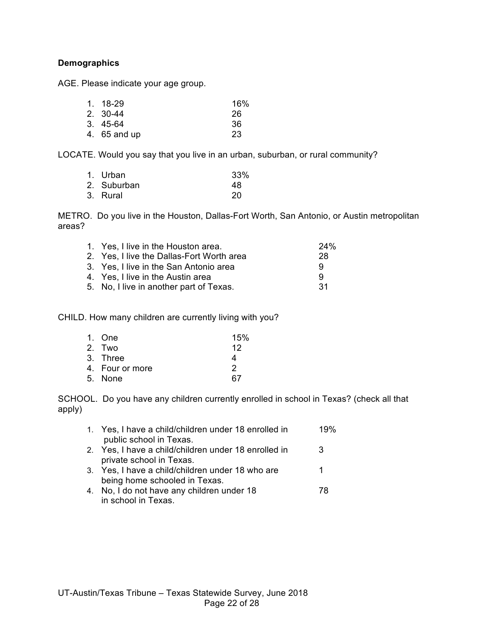## **Demographics**

AGE. Please indicate your age group.

| 1. 18-29     | 16% |
|--------------|-----|
| 2. 30-44     | -26 |
| 3. 45-64     | 36  |
| 4. 65 and up | 23  |
|              |     |

LOCATE. Would you say that you live in an urban, suburban, or rural community?

| 1. Urban    | 33% |
|-------------|-----|
| 2. Suburban | 48  |
| 3. Rural    | 20  |

METRO. Do you live in the Houston, Dallas-Fort Worth, San Antonio, or Austin metropolitan areas?

| 1. Yes, I live in the Houston area.       | 24% |
|-------------------------------------------|-----|
| 2. Yes, I live the Dallas-Fort Worth area | 28  |
| 3. Yes, I live in the San Antonio area    | 9   |
| 4. Yes, I live in the Austin area         | 9   |
| 5. No, I live in another part of Texas.   | -31 |
|                                           |     |

CHILD. How many children are currently living with you?

| 1. One          | 15% |
|-----------------|-----|
| 2. Two          | 12  |
| 3. Three        | 4   |
| 4. Four or more | 2   |
| 5. None         | 67  |

SCHOOL. Do you have any children currently enrolled in school in Texas? (check all that apply)

| 1. Yes, I have a child/children under 18 enrolled in                            | 19% |
|---------------------------------------------------------------------------------|-----|
| public school in Texas.<br>2. Yes, I have a child/children under 18 enrolled in | 3   |
| private school in Texas.                                                        |     |
| 3. Yes, I have a child/children under 18 who are                                | 1   |
| being home schooled in Texas.                                                   |     |
| 4. No, I do not have any children under 18                                      | 78  |
| in school in Texas.                                                             |     |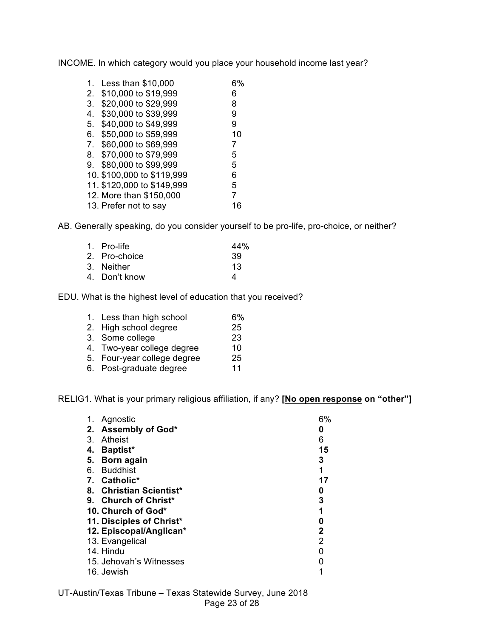INCOME. In which category would you place your household income last year?

| 1.             | Less than \$10,000         |    |
|----------------|----------------------------|----|
| 2.             | \$10,000 to \$19,999       | 6  |
| 3.             | \$20,000 to \$29,999       | 8  |
| 4.             | \$30,000 to \$39,999       | 9  |
| 5.             | \$40,000 to \$49,999       | 9  |
| 6.             | \$50,000 to \$59,999       | 10 |
| 7 <sub>1</sub> | \$60,000 to \$69,999       | 7  |
| 8.             | \$70,000 to \$79,999       | 5  |
| 9.             | \$80,000 to \$99,999       | 5  |
|                | 10. \$100,000 to \$119,999 | 6  |
|                | 11. \$120,000 to \$149,999 | 5  |
|                | 12. More than \$150,000    | 7  |
|                | 13. Prefer not to say      | 16 |

AB. Generally speaking, do you consider yourself to be pro-life, pro-choice, or neither?

| 1. Pro-life   | 44% |
|---------------|-----|
| 2. Pro-choice | 39  |
| 3. Neither    | 13  |
| 4. Don't know | Δ   |
|               |     |

EDU. What is the highest level of education that you received?

| 1. Less than high school    | 6% |
|-----------------------------|----|
| 2. High school degree       | 25 |
| 3. Some college             | 23 |
| 4. Two-year college degree  | 10 |
| 5. Four-year college degree | 25 |
| 6. Post-graduate degree     | 11 |

RELIG1. What is your primary religious affiliation, if any? **[No open response on "other"]**

| 1. | Agnostic                 | 6%           |
|----|--------------------------|--------------|
|    | 2. Assembly of God*      | 0            |
| 3. | Atheist                  | 6            |
| 4. | <b>Baptist*</b>          | 15           |
| 5. | Born again               | 3            |
|    | 6. Buddhist              | 1            |
|    | 7. Catholic*             | 17           |
|    | 8. Christian Scientist*  | 0            |
|    | 9. Church of Christ*     | 3            |
|    | 10. Church of God*       |              |
|    | 11. Disciples of Christ* | 0            |
|    | 12. Episcopal/Anglican*  | $\mathbf{2}$ |
|    | 13. Evangelical          | 2            |
|    | 14. Hindu                |              |
|    | 15. Jehovah's Witnesses  |              |
|    | 16. Jewish               |              |

UT-Austin/Texas Tribune – Texas Statewide Survey, June 2018 Page 23 of 28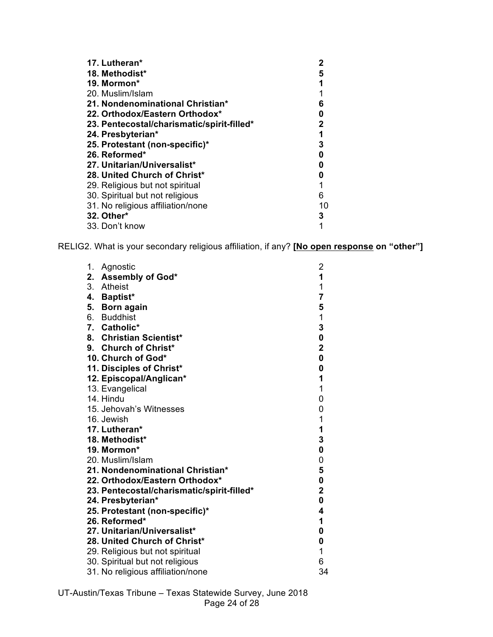| 17. Lutheran*                              |    |
|--------------------------------------------|----|
| 18. Methodist*                             | 5  |
| 19. Mormon*                                | 1  |
| 20. Muslim/Islam                           |    |
| 21. Nondenominational Christian*           | 6  |
| 22. Orthodox/Eastern Orthodox*             | 0  |
| 23. Pentecostal/charismatic/spirit-filled* | 2  |
| 24. Presbyterian*                          | 1  |
| 25. Protestant (non-specific)*             | 3  |
| 26. Reformed*                              | 0  |
| 27. Unitarian/Universalist*                | 0  |
| 28. United Church of Christ*               | 0  |
| 29. Religious but not spiritual            | 1  |
| 30. Spiritual but not religious            | 6  |
| 31. No religious affiliation/none          | 10 |
| 32. Other*                                 | 3  |
| 33. Don't know                             | 1  |

RELIG2. What is your secondary religious affiliation, if any? **[No open response on "other"]**

| 1. | Agnostic                                   | 2                       |
|----|--------------------------------------------|-------------------------|
| 2. | Assembly of God*                           | 1                       |
|    | 3. Atheist                                 | 1                       |
| 4. | <b>Baptist*</b>                            | $\overline{\mathbf{7}}$ |
| 5. | <b>Born again</b>                          | 5                       |
|    | 6. Buddhist                                | 1                       |
|    | 7. Catholic*                               | 3                       |
|    | 8. Christian Scientist*                    | 0                       |
|    | 9. Church of Christ*                       | $\overline{\mathbf{2}}$ |
|    | 10. Church of God*                         | 0                       |
|    | 11. Disciples of Christ*                   | 0                       |
|    | 12. Episcopal/Anglican*                    | 1                       |
|    | 13. Evangelical                            | $\mathbf 1$             |
|    | 14. Hindu                                  | 0                       |
|    | 15. Jehovah's Witnesses                    | 0                       |
|    | 16. Jewish                                 | $\mathbf 1$             |
|    | 17. Lutheran*                              | 1                       |
|    | 18. Methodist*                             | 3                       |
|    | 19. Mormon*                                | $\mathbf 0$             |
|    | 20. Muslim/Islam                           | 0                       |
|    | 21. Nondenominational Christian*           | 5                       |
|    | 22. Orthodox/Eastern Orthodox*             | 0                       |
|    | 23. Pentecostal/charismatic/spirit-filled* | $\overline{\mathbf{2}}$ |
|    | 24. Presbyterian*                          | 0                       |
|    | 25. Protestant (non-specific)*             | 4                       |
|    | 26. Reformed*                              | 1                       |
|    | 27. Unitarian/Universalist*                | 0                       |
|    | 28. United Church of Christ*               | 0                       |
|    | 29. Religious but not spiritual            | 1                       |
|    | 30. Spiritual but not religious            | 6                       |
|    | 31. No religious affiliation/none          | 34                      |

UT-Austin/Texas Tribune – Texas Statewide Survey, June 2018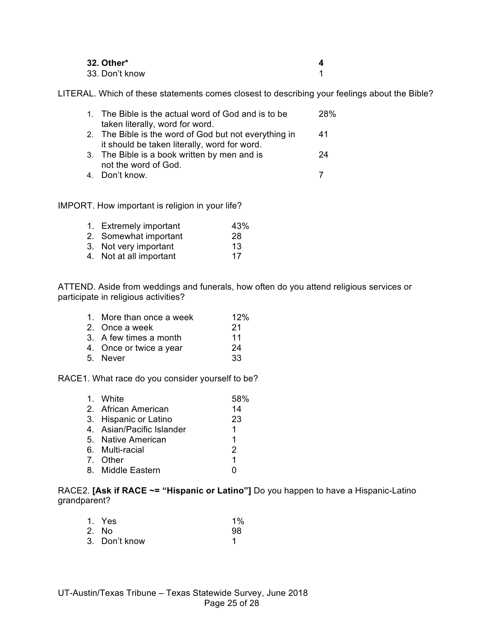| 32. Other*     |  |
|----------------|--|
| 33. Don't know |  |

LITERAL. Which of these statements comes closest to describing your feelings about the Bible?

| 1. The Bible is the actual word of God and is to be   | 28% |
|-------------------------------------------------------|-----|
| taken literally, word for word.                       |     |
| 2. The Bible is the word of God but not everything in | 41  |
| it should be taken literally, word for word.          |     |
| 3. The Bible is a book written by men and is          | 24  |
| not the word of God.                                  |     |
| 4. Don't know.                                        |     |

IMPORT. How important is religion in your life?

| 1. Extremely important  | 43% |
|-------------------------|-----|
| 2. Somewhat important   | 28  |
| 3. Not very important   | 13  |
| 4. Not at all important | 17  |

ATTEND. Aside from weddings and funerals, how often do you attend religious services or participate in religious activities?

| 1. More than once a week | 12% |
|--------------------------|-----|
| 2. Once a week           | 21  |
| 3. A few times a month   | 11  |
| 4. Once or twice a year  | 24  |
| 5. Never                 | 33  |

RACE1. What race do you consider yourself to be?

| 1. White                  | 58%           |
|---------------------------|---------------|
| 2. African American       | 14            |
| 3. Hispanic or Latino     | 23            |
| 4. Asian/Pacific Islander | 1.            |
| 5. Native American        | 1             |
| 6. Multi-racial           | $\mathcal{P}$ |
| 7. Other                  | 1             |
| 8. Middle Eastern         | n             |
|                           |               |

RACE2. **[Ask if RACE ~= "Hispanic or Latino"]** Do you happen to have a Hispanic-Latino grandparent?

| 1. Yes        | $1\%$ |
|---------------|-------|
| 2. No         | 98    |
| 3. Don't know |       |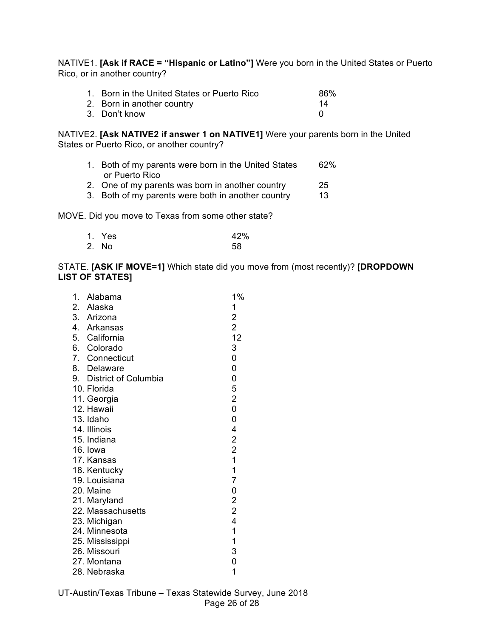NATIVE1. **[Ask if RACE = "Hispanic or Latino"]** Were you born in the United States or Puerto Rico, or in another country?

| 1. Born in the United States or Puerto Rico | 86% |
|---------------------------------------------|-----|
| 2. Born in another country                  | 14  |
| 3. Don't know                               |     |

NATIVE2. **[Ask NATIVE2 if answer 1 on NATIVE1]** Were your parents born in the United States or Puerto Rico, or another country?

- 1. Both of my parents were born in the United States 62% or Puerto Rico
- 2. One of my parents was born in another country 25
- 3. Both of my parents were both in another country 13

MOVE. Did you move to Texas from some other state?

| 1. Yes | 42% |
|--------|-----|
| 2. No  | 58  |

STATE. **[ASK IF MOVE=1]** Which state did you move from (most recently)? **[DROPDOWN LIST OF STATES]**

| 1. | Alabama                 | 1%                                         |
|----|-------------------------|--------------------------------------------|
|    | 2. Alaska               | 1                                          |
|    | 3. Arizona              | $\overline{\mathbf{c}}$                    |
|    | 4. Arkansas             | $\overline{2}$                             |
|    | 5. California           | 12                                         |
|    | 6. Colorado             | 3                                          |
|    | 7. Connecticut          | 0                                          |
|    | 8. Delaware             | 0                                          |
|    | 9. District of Columbia | 0                                          |
|    | 10. Florida             | 5                                          |
|    | 11. Georgia             | $\overline{c}$                             |
|    | 12. Hawaii              | $\overline{0}$                             |
|    | 13. Idaho               | 0                                          |
|    | 14. Illinois            | 4                                          |
|    | 15. Indiana             | $\begin{array}{c} 2 \\ 2 \\ 1 \end{array}$ |
|    | 16. Iowa                |                                            |
|    | 17. Kansas              |                                            |
|    | 18. Kentucky            | $\mathbf 1$                                |
|    | 19. Louisiana           | $\overline{7}$                             |
|    | 20. Maine               | $\mathbf 0$                                |
|    | 21. Maryland            |                                            |
|    | 22. Massachusetts       | $\begin{array}{c} 2 \\ 2 \\ 4 \end{array}$ |
|    | 23. Michigan            |                                            |
|    | 24. Minnesota           | 1                                          |
|    | 25. Mississippi         | $\mathbf 1$                                |
|    | 26. Missouri            | 3                                          |
|    | 27. Montana             | 0                                          |
|    | 28. Nebraska            | 1                                          |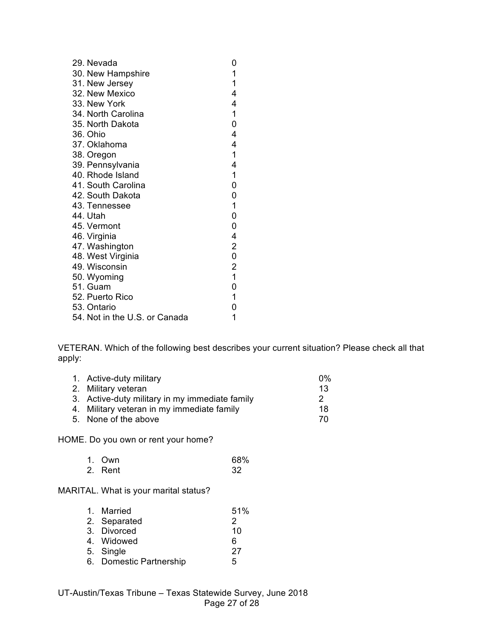| 29. Nevada                    | 0                                     |
|-------------------------------|---------------------------------------|
| 30. New Hampshire             | 1                                     |
| 31. New Jersey                | 1                                     |
| 32. New Mexico                | 4                                     |
| 33. New York                  | 4                                     |
| 34. North Carolina            | $\mathbf{1}$                          |
| 35. North Dakota              | 0                                     |
| 36. Ohio                      | 4                                     |
| 37. Oklahoma                  | 4                                     |
| 38. Oregon                    | $\mathbf 1$                           |
| 39. Pennsylvania              | 4                                     |
| 40. Rhode Island              | 1                                     |
| 41. South Carolina            | 0                                     |
| 42. South Dakota              | 0                                     |
| 43. Tennessee                 | $\mathbf{1}$                          |
| 44. Utah                      | 0                                     |
| 45. Vermont                   | 0                                     |
| 46. Virginia                  | 4                                     |
| 47. Washington                | $\overline{2}$                        |
| 48. West Virginia             | $\mathbf 0$                           |
| 49. Wisconsin                 | $\begin{array}{c} 2 \\ 1 \end{array}$ |
| 50. Wyoming                   |                                       |
| 51. Guam                      | 0                                     |
| 52. Puerto Rico               | $\overline{1}$                        |
| 53. Ontario                   | 0                                     |
| 54. Not in the U.S. or Canada | 1                                     |

VETERAN. Which of the following best describes your current situation? Please check all that apply:

| 1. Active-duty military                        | $0\%$ |
|------------------------------------------------|-------|
| 2. Military veteran                            | 13    |
| 3. Active-duty military in my immediate family | 2     |
| 4. Military veteran in my immediate family     | 18    |
| 5. None of the above                           | 70    |
|                                                |       |

HOME. Do you own or rent your home?

| 1. Own  | 68% |
|---------|-----|
| 2. Rent | -32 |

MARITAL. What is your marital status?

| 1. Married              | 51% |
|-------------------------|-----|
| 2. Separated            | 2   |
| 3. Divorced             | 10  |
| 4. Widowed              | 6   |
| 5. Single               | 27  |
| 6. Domestic Partnership | 5   |
|                         |     |